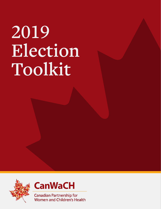# **2019 Election Toolkit**





**Canadian Partnership for** Women and Children's Health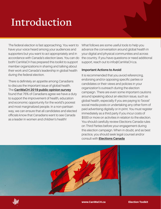## **Introduction**

The federal election is fast approaching. You want to have your voice heard among your audiences and supporters but you want to act appropriately and in accordance with Canada's election laws. You can do both! CanWaCH has prepared this toolkit to support member organizations in sharing and talking about their work and Canada's leadership in global health during the federal election.

There is definitely an appetite among Canadians to discuss the important issue of global health. The **CanWaCH 2019 public opinion survey** found that 76% of Canadians agree we have a duty to support the improvement of health, education and economic opportunity for the world's poorest and most marginalized people. In a non-partisan way, we can ensure that all candidates and elected officials know that Canadians want to see Canada as a leader in women and children's health!

What follows are some useful tools to help you advance the conversation around global health in your digital and physical communities and across the country. If you have questions or need additional support, reach out to info@CanWaCH.ca.

#### **Important Actions to Avoid**

It is recommended that you avoid referencing, endorsing and/or opposing specific parties or candidates or their views and policies in your organization's outreach during the election campaign. There are even some important cautions around speaking about an election issue, such as global health, especially if you are paying to 'boost' social media posts or undertaking any other form of paid advertising digitally or in print. You must register immediately as a third party if you incur costs of \$500 or more on activities in relation to the election. You should carefully review Elections Canada rules on Third Parties before your engagement during this election campaign. When in doubt, and as best practice, you should seek legal counsel and/or consult with **Elections Canada**



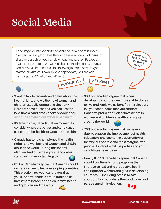### **Social Media**

**#CDNPOLI #ELXN43** Encourage your followers to continue to think and talk about Canada's role in global health during the election. **Click here** for shareable graphics you can download and post on Facebook, Twitter, or Instagram. We will also be posting these to CanWaCH social media channels. Use the following sample posts to get started, or write your own. Where appropriate, you can add hashtags like #CdnPoli and #Elxn43.



- **• Want to talk to federal candidates about the health, rights and wellbeing of women and children globally during this election? Here are some questions you can use the next time a candidate knocks on your door. (USE THE PROVIDED QUESTION SHAREABLE)**
- **• It's time to vote, Canada! Take a moment to consider where the parties and candidates stand on global health for women and children.**
- **• Canada has long championed the health, rights, and wellbeing of women and children around the world. During this federal election, find out where your candidates stand on this important legacy.**
- **• 81% of Canadians agree that Canada should do its fair share to help developing countries. This election, tell your candidates that you support Canada's proud tradition of investment in women and children's health and rights around the world.**



- **• 90% of Canadians agree that when developing countries are more stable places to live and work, we all benefit. This election, tell your candidates that you support Canada's proud tradition of investment in women and children's health and rights around the world.**
- **• 76% of Canadians agree that we have a duty to support the improvement of health, education, and economic opportunity for the world's poorest and most marginalized people. Find out what the parties and your candidates have to say.**
- **• Nearly 8 in 10 Canadians agree that Canada should continue to fund programs that improve sexual and reproductive health and rights for women and girls in developing countries — including access to safe abortion. Find out where the candidates and parties stand this election.**





**COPY AND**  PASTE OUR<br>SAMP OUR **SAMPLE POSTS**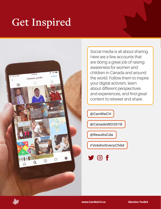#### **Get Inspired**



Social media is all about sharing. Here are a few accounts that are doing a great job of raising awareness for women and children in Canada and around the world. Follow them to inspire your digital activism, learn about different perspectives and experiences, and find great content to retweet and share.

**@CanWaCH @CanadaWD2019 @ResultsCda #VoteforEveryChild**